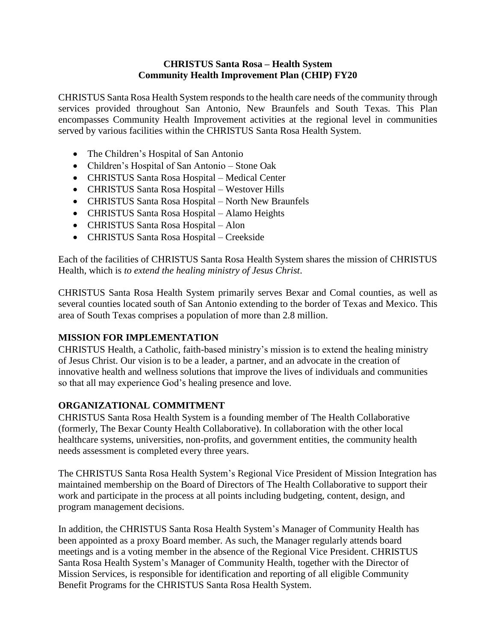#### **CHRISTUS Santa Rosa – Health System Community Health Improvement Plan (CHIP) FY20**

CHRISTUS Santa Rosa Health System responds to the health care needs of the community through services provided throughout San Antonio, New Braunfels and South Texas. This Plan encompasses Community Health Improvement activities at the regional level in communities served by various facilities within the CHRISTUS Santa Rosa Health System.

- The Children's Hospital of San Antonio
- Children's Hospital of San Antonio Stone Oak
- CHRISTUS Santa Rosa Hospital Medical Center
- CHRISTUS Santa Rosa Hospital Westover Hills
- CHRISTUS Santa Rosa Hospital North New Braunfels
- CHRISTUS Santa Rosa Hospital Alamo Heights
- CHRISTUS Santa Rosa Hospital Alon
- CHRISTUS Santa Rosa Hospital Creekside

Each of the facilities of CHRISTUS Santa Rosa Health System shares the mission of CHRISTUS Health, which is *to extend the healing ministry of Jesus Christ*.

CHRISTUS Santa Rosa Health System primarily serves Bexar and Comal counties, as well as several counties located south of San Antonio extending to the border of Texas and Mexico. This area of South Texas comprises a population of more than 2.8 million.

#### **MISSION FOR IMPLEMENTATION**

CHRISTUS Health, a Catholic, faith-based ministry's mission is to extend the healing ministry of Jesus Christ. Our vision is to be a leader, a partner, and an advocate in the creation of innovative health and wellness solutions that improve the lives of individuals and communities so that all may experience God's healing presence and love.

#### **ORGANIZATIONAL COMMITMENT**

CHRISTUS Santa Rosa Health System is a founding member of The Health Collaborative (formerly, The Bexar County Health Collaborative). In collaboration with the other local healthcare systems, universities, non-profits, and government entities, the community health needs assessment is completed every three years.

The CHRISTUS Santa Rosa Health System's Regional Vice President of Mission Integration has maintained membership on the Board of Directors of The Health Collaborative to support their work and participate in the process at all points including budgeting, content, design, and program management decisions.

In addition, the CHRISTUS Santa Rosa Health System's Manager of Community Health has been appointed as a proxy Board member. As such, the Manager regularly attends board meetings and is a voting member in the absence of the Regional Vice President. CHRISTUS Santa Rosa Health System's Manager of Community Health, together with the Director of Mission Services, is responsible for identification and reporting of all eligible Community Benefit Programs for the CHRISTUS Santa Rosa Health System.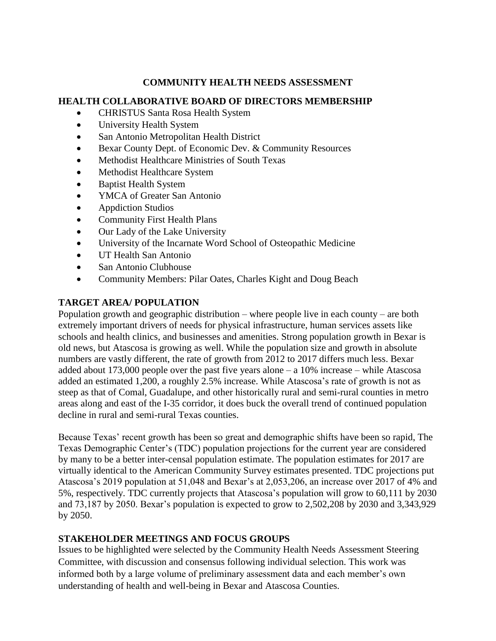#### **COMMUNITY HEALTH NEEDS ASSESSMENT**

#### **HEALTH COLLABORATIVE BOARD OF DIRECTORS MEMBERSHIP**

- CHRISTUS Santa Rosa Health System
- University Health System
- San Antonio Metropolitan Health District
- Bexar County Dept. of Economic Dev. & Community Resources
- Methodist Healthcare Ministries of South Texas
- Methodist Healthcare System
- Baptist Health System
- YMCA of Greater San Antonio
- Appdiction Studios
- Community First Health Plans
- Our Lady of the Lake University
- University of the Incarnate Word School of Osteopathic Medicine
- UT Health San Antonio
- San Antonio Clubhouse
- Community Members: Pilar Oates, Charles Kight and Doug Beach

## **TARGET AREA/ POPULATION**

Population growth and geographic distribution – where people live in each county – are both extremely important drivers of needs for physical infrastructure, human services assets like schools and health clinics, and businesses and amenities. Strong population growth in Bexar is old news, but Atascosa is growing as well. While the population size and growth in absolute numbers are vastly different, the rate of growth from 2012 to 2017 differs much less. Bexar added about 173,000 people over the past five years alone – a 10% increase – while Atascosa added an estimated 1,200, a roughly 2.5% increase. While Atascosa's rate of growth is not as steep as that of Comal, Guadalupe, and other historically rural and semi-rural counties in metro areas along and east of the I-35 corridor, it does buck the overall trend of continued population decline in rural and semi-rural Texas counties.

Because Texas' recent growth has been so great and demographic shifts have been so rapid, The Texas Demographic Center's (TDC) population projections for the current year are considered by many to be a better inter-censal population estimate. The population estimates for 2017 are virtually identical to the American Community Survey estimates presented. TDC projections put Atascosa's 2019 population at 51,048 and Bexar's at 2,053,206, an increase over 2017 of 4% and 5%, respectively. TDC currently projects that Atascosa's population will grow to 60,111 by 2030 and 73,187 by 2050. Bexar's population is expected to grow to 2,502,208 by 2030 and 3,343,929 by 2050.

### **STAKEHOLDER MEETINGS AND FOCUS GROUPS**

Issues to be highlighted were selected by the Community Health Needs Assessment Steering Committee, with discussion and consensus following individual selection. This work was informed both by a large volume of preliminary assessment data and each member's own understanding of health and well-being in Bexar and Atascosa Counties.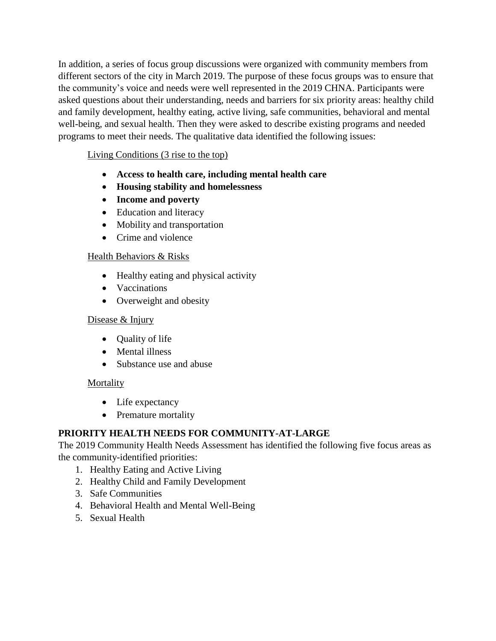In addition, a series of focus group discussions were organized with community members from different sectors of the city in March 2019. The purpose of these focus groups was to ensure that the community's voice and needs were well represented in the 2019 CHNA. Participants were asked questions about their understanding, needs and barriers for six priority areas: healthy child and family development, healthy eating, active living, safe communities, behavioral and mental well-being, and sexual health. Then they were asked to describe existing programs and needed programs to meet their needs. The qualitative data identified the following issues:

## Living Conditions (3 rise to the top)

- **Access to health care, including mental health care**
- **Housing stability and homelessness**
- **Income and poverty**
- Education and literacy
- Mobility and transportation
- Crime and violence

### Health Behaviors & Risks

- Healthy eating and physical activity
- Vaccinations
- Overweight and obesity

### Disease & Injury

- Ouality of life
- Mental illness
- Substance use and abuse

### **Mortality**

- Life expectancy
- Premature mortality

## **PRIORITY HEALTH NEEDS FOR COMMUNITY-AT-LARGE**

The 2019 Community Health Needs Assessment has identified the following five focus areas as the community-identified priorities:

- 1. Healthy Eating and Active Living
- 2. Healthy Child and Family Development
- 3. Safe Communities
- 4. Behavioral Health and Mental Well-Being
- 5. Sexual Health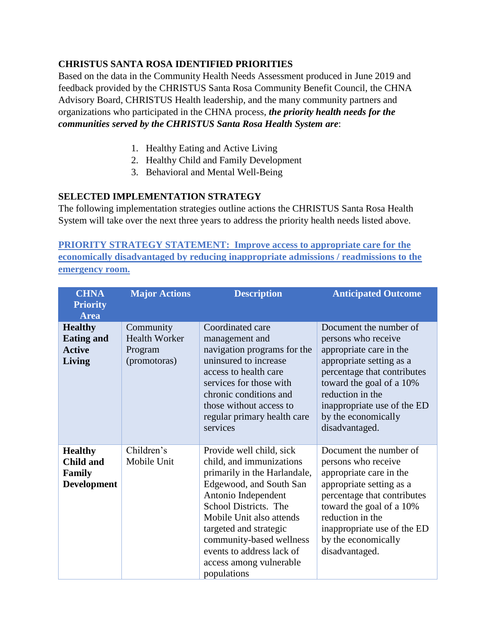# **CHRISTUS SANTA ROSA IDENTIFIED PRIORITIES**

Based on the data in the Community Health Needs Assessment produced in June 2019 and feedback provided by the CHRISTUS Santa Rosa Community Benefit Council, the CHNA Advisory Board, CHRISTUS Health leadership, and the many community partners and organizations who participated in the CHNA process, *the priority health needs for the communities served by the CHRISTUS Santa Rosa Health System are*:

- 1. Healthy Eating and Active Living
- 2. Healthy Child and Family Development
- 3. Behavioral and Mental Well-Being

## **SELECTED IMPLEMENTATION STRATEGY**

The following implementation strategies outline actions the CHRISTUS Santa Rosa Health System will take over the next three years to address the priority health needs listed above.

**PRIORITY STRATEGY STATEMENT: Improve access to appropriate care for the economically disadvantaged by reducing inappropriate admissions / readmissions to the emergency room.**

| <b>CHNA</b><br><b>Priority</b><br><b>Area</b>                      | <b>Major Actions</b>                                         | <b>Description</b>                                                                                                                                                                                                                                                                                                       | <b>Anticipated Outcome</b>                                                                                                                                                                                                                                  |
|--------------------------------------------------------------------|--------------------------------------------------------------|--------------------------------------------------------------------------------------------------------------------------------------------------------------------------------------------------------------------------------------------------------------------------------------------------------------------------|-------------------------------------------------------------------------------------------------------------------------------------------------------------------------------------------------------------------------------------------------------------|
| <b>Healthy</b><br><b>Eating and</b><br><b>Active</b><br>Living     | Community<br><b>Health Worker</b><br>Program<br>(promotoras) | Coordinated care<br>management and<br>navigation programs for the<br>uninsured to increase<br>access to health care<br>services for those with<br>chronic conditions and<br>those without access to<br>regular primary health care<br>services                                                                           | Document the number of<br>persons who receive<br>appropriate care in the<br>appropriate setting as a<br>percentage that contributes<br>toward the goal of a 10%<br>reduction in the<br>inappropriate use of the ED<br>by the economically<br>disadvantaged. |
| <b>Healthy</b><br><b>Child and</b><br>Family<br><b>Development</b> | Children's<br>Mobile Unit                                    | Provide well child, sick<br>child, and immunizations<br>primarily in the Harlandale,<br>Edgewood, and South San<br>Antonio Independent<br>School Districts. The<br>Mobile Unit also attends<br>targeted and strategic<br>community-based wellness<br>events to address lack of<br>access among vulnerable<br>populations | Document the number of<br>persons who receive<br>appropriate care in the<br>appropriate setting as a<br>percentage that contributes<br>toward the goal of a 10%<br>reduction in the<br>inappropriate use of the ED<br>by the economically<br>disadvantaged. |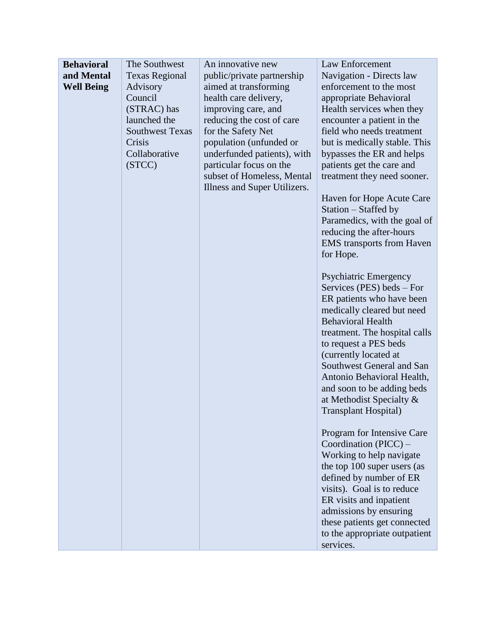| <b>Behavioral</b> | The Southwest          | An innovative new            | Law Enforcement                  |
|-------------------|------------------------|------------------------------|----------------------------------|
| and Mental        | <b>Texas Regional</b>  | public/private partnership   | Navigation - Directs law         |
| <b>Well Being</b> | Advisory               | aimed at transforming        | enforcement to the most          |
|                   | Council                | health care delivery,        | appropriate Behavioral           |
|                   | (STRAC) has            | improving care, and          | Health services when they        |
|                   | launched the           | reducing the cost of care    | encounter a patient in the       |
|                   | <b>Southwest Texas</b> | for the Safety Net           | field who needs treatment        |
|                   | Crisis                 | population (unfunded or      | but is medically stable. This    |
|                   | Collaborative          | underfunded patients), with  | bypasses the ER and helps        |
|                   | (STCC)                 | particular focus on the      | patients get the care and        |
|                   |                        | subset of Homeless, Mental   | treatment they need sooner.      |
|                   |                        | Illness and Super Utilizers. |                                  |
|                   |                        |                              | Haven for Hope Acute Care        |
|                   |                        |                              | Station – Staffed by             |
|                   |                        |                              | Paramedics, with the goal of     |
|                   |                        |                              | reducing the after-hours         |
|                   |                        |                              | <b>EMS</b> transports from Haven |
|                   |                        |                              | for Hope.                        |
|                   |                        |                              |                                  |
|                   |                        |                              | Psychiatric Emergency            |
|                   |                        |                              | Services (PES) beds – For        |
|                   |                        |                              | ER patients who have been        |
|                   |                        |                              | medically cleared but need       |
|                   |                        |                              | <b>Behavioral Health</b>         |
|                   |                        |                              | treatment. The hospital calls    |
|                   |                        |                              | to request a PES beds            |
|                   |                        |                              | (currently located at            |
|                   |                        |                              | Southwest General and San        |
|                   |                        |                              | Antonio Behavioral Health,       |
|                   |                        |                              | and soon to be adding beds       |
|                   |                        |                              | at Methodist Specialty &         |
|                   |                        |                              | <b>Transplant Hospital</b> )     |
|                   |                        |                              | Program for Intensive Care       |
|                   |                        |                              | Coordination (PICC) –            |
|                   |                        |                              | Working to help navigate         |
|                   |                        |                              | the top 100 super users (as      |
|                   |                        |                              | defined by number of ER          |
|                   |                        |                              | visits). Goal is to reduce       |
|                   |                        |                              | ER visits and inpatient          |
|                   |                        |                              | admissions by ensuring           |
|                   |                        |                              | these patients get connected     |
|                   |                        |                              | to the appropriate outpatient    |
|                   |                        |                              | services.                        |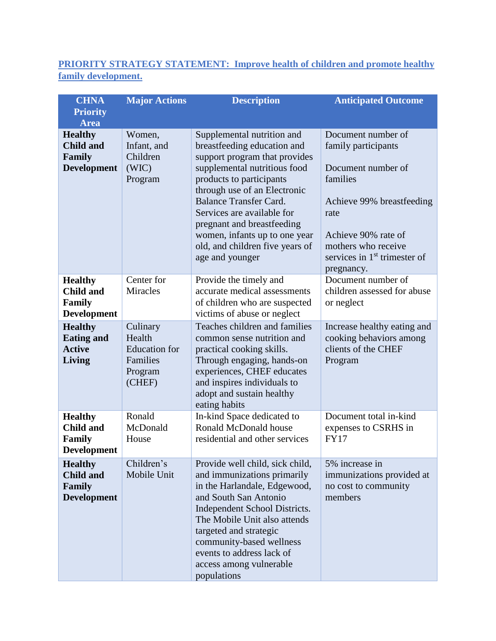# **PRIORITY STRATEGY STATEMENT: Improve health of children and promote healthy family development.**

| <b>CHNA</b>                                                               | <b>Major Actions</b>                                                        | <b>Description</b>                                                                                                                                                                                                                                                                                                                                                         | <b>Anticipated Outcome</b>                                                                                                                                                                                     |
|---------------------------------------------------------------------------|-----------------------------------------------------------------------------|----------------------------------------------------------------------------------------------------------------------------------------------------------------------------------------------------------------------------------------------------------------------------------------------------------------------------------------------------------------------------|----------------------------------------------------------------------------------------------------------------------------------------------------------------------------------------------------------------|
| <b>Priority</b><br><b>Area</b>                                            |                                                                             |                                                                                                                                                                                                                                                                                                                                                                            |                                                                                                                                                                                                                |
| <b>Healthy</b><br><b>Child and</b><br>Family<br><b>Development</b>        | Women,<br>Infant, and<br>Children<br>(WIC)<br>Program                       | Supplemental nutrition and<br>breastfeeding education and<br>support program that provides<br>supplemental nutritious food<br>products to participants<br>through use of an Electronic<br><b>Balance Transfer Card.</b><br>Services are available for<br>pregnant and breastfeeding<br>women, infants up to one year<br>old, and children five years of<br>age and younger | Document number of<br>family participants<br>Document number of<br>families<br>Achieve 99% breastfeeding<br>rate<br>Achieve 90% rate of<br>mothers who receive<br>services in $1st$ trimester of<br>pregnancy. |
| <b>Healthy</b><br><b>Child and</b><br><b>Family</b><br><b>Development</b> | Center for<br><b>Miracles</b>                                               | Provide the timely and<br>accurate medical assessments<br>of children who are suspected<br>victims of abuse or neglect                                                                                                                                                                                                                                                     | Document number of<br>children assessed for abuse<br>or neglect                                                                                                                                                |
| <b>Healthy</b><br><b>Eating and</b><br><b>Active</b><br>Living            | Culinary<br>Health<br><b>Education</b> for<br>Families<br>Program<br>(CHEF) | Teaches children and families<br>common sense nutrition and<br>practical cooking skills.<br>Through engaging, hands-on<br>experiences, CHEF educates<br>and inspires individuals to<br>adopt and sustain healthy<br>eating habits                                                                                                                                          | Increase healthy eating and<br>cooking behaviors among<br>clients of the CHEF<br>Program                                                                                                                       |
| <b>Healthy</b><br><b>Child and</b><br><b>Family</b><br><b>Development</b> | Ronald<br>McDonald<br>House                                                 | In-kind Space dedicated to<br>Ronald McDonald house<br>residential and other services                                                                                                                                                                                                                                                                                      | Document total in-kind<br>expenses to CSRHS in<br><b>FY17</b>                                                                                                                                                  |
| <b>Healthy</b><br><b>Child and</b><br><b>Family</b><br><b>Development</b> | Children's<br>Mobile Unit                                                   | Provide well child, sick child,<br>and immunizations primarily<br>in the Harlandale, Edgewood,<br>and South San Antonio<br>Independent School Districts.<br>The Mobile Unit also attends<br>targeted and strategic<br>community-based wellness<br>events to address lack of<br>access among vulnerable<br>populations                                                      | 5% increase in<br>immunizations provided at<br>no cost to community<br>members                                                                                                                                 |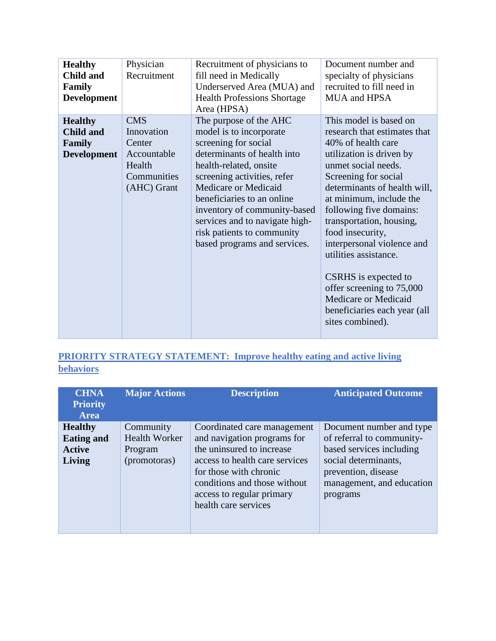| <b>Healthy</b><br><b>Child and</b><br>Family<br><b>Development</b> | Physician<br>Recruitment                                                                  | Recruitment of physicians to<br>fill need in Medically<br>Underserved Area (MUA) and<br><b>Health Professions Shortage</b><br>Area (HPSA)                                                                                                                                                                                                               | Document number and<br>specialty of physicians<br>recruited to fill need in<br>MUA and HPSA                                                                                                                                                                                                                                                                                                                                                                                                  |
|--------------------------------------------------------------------|-------------------------------------------------------------------------------------------|---------------------------------------------------------------------------------------------------------------------------------------------------------------------------------------------------------------------------------------------------------------------------------------------------------------------------------------------------------|----------------------------------------------------------------------------------------------------------------------------------------------------------------------------------------------------------------------------------------------------------------------------------------------------------------------------------------------------------------------------------------------------------------------------------------------------------------------------------------------|
| <b>Healthy</b><br><b>Child and</b><br>Family<br><b>Development</b> | <b>CMS</b><br>Innovation<br>Center<br>Accountable<br>Health<br>Communities<br>(AHC) Grant | The purpose of the AHC<br>model is to incorporate<br>screening for social<br>determinants of health into<br>health-related, onsite<br>screening activities, refer<br>Medicare or Medicaid<br>beneficiaries to an online<br>inventory of community-based<br>services and to navigate high-<br>risk patients to community<br>based programs and services. | This model is based on<br>research that estimates that<br>40% of health care<br>utilization is driven by<br>unmet social needs.<br>Screening for social<br>determinants of health will,<br>at minimum, include the<br>following five domains:<br>transportation, housing,<br>food insecurity,<br>interpersonal violence and<br>utilities assistance.<br>CSRHS is expected to<br>offer screening to 75,000<br><b>Medicare or Medicaid</b><br>beneficiaries each year (all<br>sites combined). |

# **PRIORITY STRATEGY STATEMENT: Improve healthy eating and active living behaviors**

| <b>CHNA</b><br><b>Priority</b><br><b>Area</b>                  | <b>Major Actions</b>                                         | <b>Description</b>                                                                                                                                                                                                                       | <b>Anticipated Outcome</b>                                                                                                                                                |
|----------------------------------------------------------------|--------------------------------------------------------------|------------------------------------------------------------------------------------------------------------------------------------------------------------------------------------------------------------------------------------------|---------------------------------------------------------------------------------------------------------------------------------------------------------------------------|
| <b>Healthy</b><br><b>Eating and</b><br><b>Active</b><br>Living | Community<br><b>Health Worker</b><br>Program<br>(promotoras) | Coordinated care management<br>and navigation programs for<br>the uninsured to increase<br>access to health care services<br>for those with chronic<br>conditions and those without<br>access to regular primary<br>health care services | Document number and type<br>of referral to community-<br>based services including<br>social determinants,<br>prevention, disease<br>management, and education<br>programs |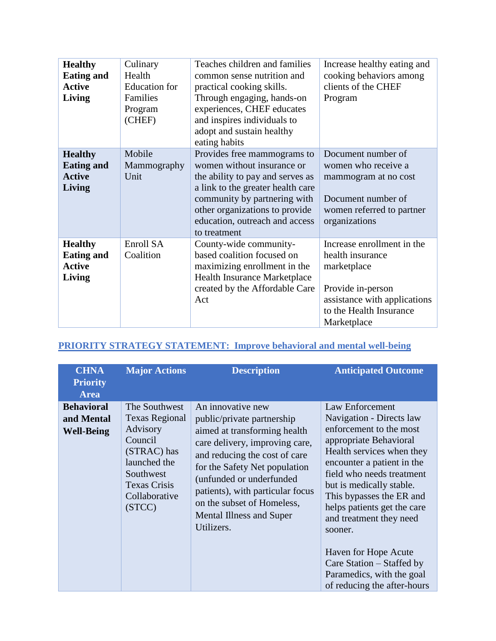| <b>Healthy</b>    | Culinary             | Teaches children and families<br>Increase healthy eating and |                              |
|-------------------|----------------------|--------------------------------------------------------------|------------------------------|
| <b>Eating and</b> | Health               | common sense nutrition and                                   | cooking behaviors among      |
| <b>Active</b>     | <b>Education</b> for | practical cooking skills.                                    | clients of the CHEF          |
| Living            | Families             | Through engaging, hands-on                                   | Program                      |
|                   | Program              | experiences, CHEF educates                                   |                              |
|                   | (CHEF)               | and inspires individuals to                                  |                              |
|                   |                      | adopt and sustain healthy                                    |                              |
|                   |                      | eating habits                                                |                              |
| <b>Healthy</b>    | Mobile               | Provides free mammograms to                                  | Document number of           |
| <b>Eating and</b> | Mammography          | women without insurance or                                   | women who receive a          |
| <b>Active</b>     | Unit                 | the ability to pay and serves as                             | mammogram at no cost         |
| <b>Living</b>     |                      | a link to the greater health care                            |                              |
|                   |                      | community by partnering with                                 | Document number of           |
|                   |                      | other organizations to provide                               | women referred to partner    |
|                   |                      | education, outreach and access                               | organizations                |
|                   |                      | to treatment                                                 |                              |
| <b>Healthy</b>    | Enroll SA            | County-wide community-                                       | Increase enrollment in the   |
| <b>Eating and</b> | Coalition            | based coalition focused on                                   | health insurance             |
| <b>Active</b>     |                      | maximizing enrollment in the                                 | marketplace                  |
| Living            |                      | Health Insurance Marketplace                                 |                              |
|                   |                      | created by the Affordable Care                               | Provide in-person            |
|                   |                      | Act                                                          | assistance with applications |
|                   |                      |                                                              | to the Health Insurance      |
|                   |                      |                                                              | Marketplace                  |

# **PRIORITY STRATEGY STATEMENT: Improve behavioral and mental well-being**

| <b>CHNA</b><br><b>Priority</b><br><b>Area</b>        | <b>Major Actions</b>                                                                                                                                        | <b>Description</b>                                                                                                                                                                                                                                                                                                                 | <b>Anticipated Outcome</b>                                                                                                                                                                                                                                                                                                                                                                                                             |
|------------------------------------------------------|-------------------------------------------------------------------------------------------------------------------------------------------------------------|------------------------------------------------------------------------------------------------------------------------------------------------------------------------------------------------------------------------------------------------------------------------------------------------------------------------------------|----------------------------------------------------------------------------------------------------------------------------------------------------------------------------------------------------------------------------------------------------------------------------------------------------------------------------------------------------------------------------------------------------------------------------------------|
| <b>Behavioral</b><br>and Mental<br><b>Well-Being</b> | The Southwest<br><b>Texas Regional</b><br>Advisory<br>Council<br>(STRAC) has<br>launched the<br>Southwest<br><b>Texas Crisis</b><br>Collaborative<br>(STCC) | An innovative new<br>public/private partnership<br>aimed at transforming health<br>care delivery, improving care,<br>and reducing the cost of care<br>for the Safety Net population<br>(unfunded or underfunded<br>patients), with particular focus<br>on the subset of Homeless,<br><b>Mental Illness and Super</b><br>Utilizers. | Law Enforcement<br>Navigation - Directs law<br>enforcement to the most<br>appropriate Behavioral<br>Health services when they<br>encounter a patient in the<br>field who needs treatment<br>but is medically stable.<br>This bypasses the ER and<br>helps patients get the care<br>and treatment they need<br>sooner.<br>Haven for Hope Acute<br>Care Station – Staffed by<br>Paramedics, with the goal<br>of reducing the after-hours |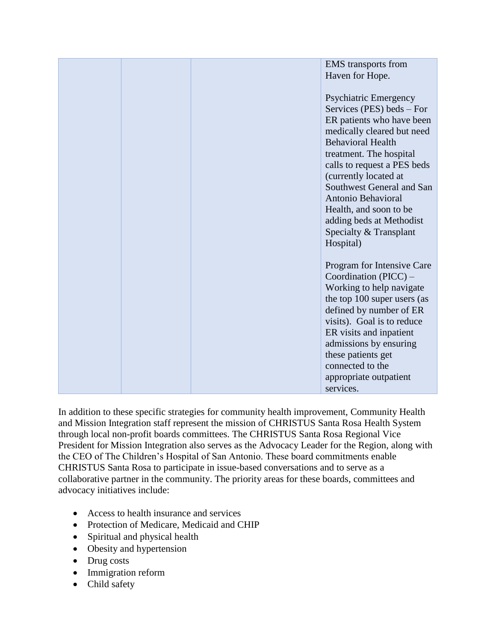|  | <b>EMS</b> transports from   |
|--|------------------------------|
|  | Haven for Hope.              |
|  |                              |
|  | <b>Psychiatric Emergency</b> |
|  | Services (PES) beds – For    |
|  | ER patients who have been    |
|  | medically cleared but need   |
|  | <b>Behavioral Health</b>     |
|  | treatment. The hospital      |
|  | calls to request a PES beds  |
|  | (currently located at        |
|  | Southwest General and San    |
|  | Antonio Behavioral           |
|  | Health, and soon to be       |
|  | adding beds at Methodist     |
|  | Specialty & Transplant       |
|  | Hospital)                    |
|  |                              |
|  | Program for Intensive Care   |
|  | Coordination $(PICC)$ –      |
|  | Working to help navigate     |
|  | the top 100 super users (as  |
|  | defined by number of ER      |
|  | visits). Goal is to reduce   |
|  | ER visits and inpatient      |
|  | admissions by ensuring       |
|  | these patients get           |
|  | connected to the             |
|  | appropriate outpatient       |
|  | services.                    |

In addition to these specific strategies for community health improvement, Community Health and Mission Integration staff represent the mission of CHRISTUS Santa Rosa Health System through local non-profit boards committees. The CHRISTUS Santa Rosa Regional Vice President for Mission Integration also serves as the Advocacy Leader for the Region, along with the CEO of The Children's Hospital of San Antonio. These board commitments enable CHRISTUS Santa Rosa to participate in issue-based conversations and to serve as a collaborative partner in the community. The priority areas for these boards, committees and advocacy initiatives include:

- Access to health insurance and services
- Protection of Medicare, Medicaid and CHIP
- Spiritual and physical health
- Obesity and hypertension
- Drug costs
- Immigration reform
- Child safety